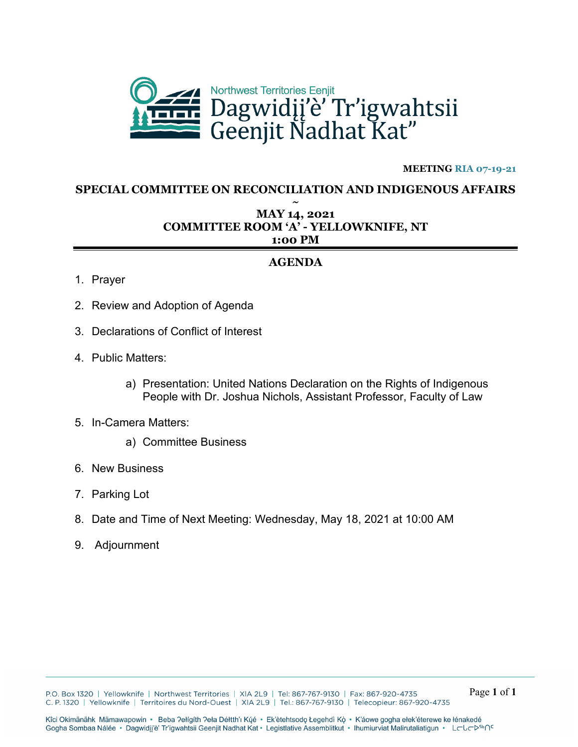

#### **MEETING RIA 07-19-21**

#### **SPECIAL COMMITTEE ON RECONCILIATION AND INDIGENOUS AFFAIRS**

#### **~ MAY 14, 2021 COMMITTEE ROOM 'A' - YELLOWKNIFE, NT 1:00 PM**

#### **AGENDA**

- 1. Prayer
- 2. Review and Adoption of Agenda
- 3. Declarations of Conflict of Interest
- 4. Public Matters:
	- a) Presentation: United Nations Declaration on the Rights of Indigenous People with Dr. Joshua Nichols, Assistant Professor, Faculty of Law
- 5. In-Camera Matters:
	- a) Committee Business
- 6. New Business
- 7. Parking Lot
- 8. Date and Time of Next Meeting: Wednesday, May 18, 2021 at 10:00 AM
- 9. Adjournment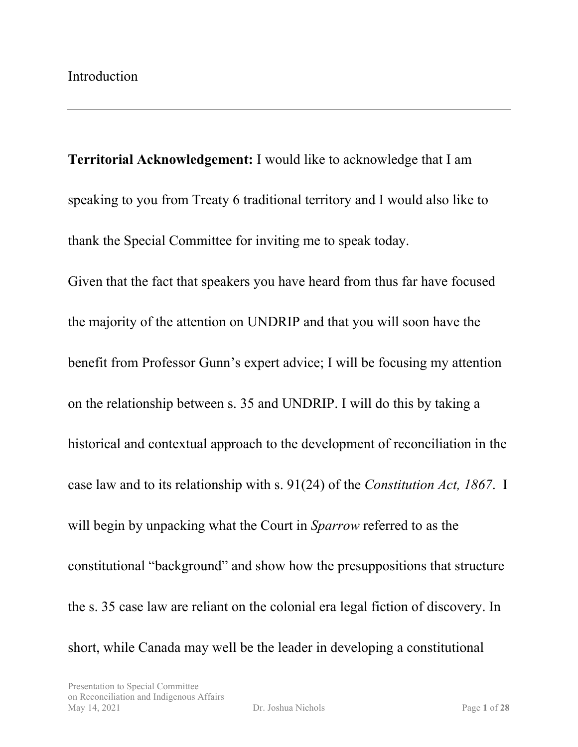**Territorial Acknowledgement:** I would like to acknowledge that I am speaking to you from Treaty 6 traditional territory and I would also like to thank the Special Committee for inviting me to speak today.

Given that the fact that speakers you have heard from thus far have focused the majority of the attention on UNDRIP and that you will soon have the benefit from Professor Gunn's expert advice; I will be focusing my attention on the relationship between s. 35 and UNDRIP. I will do this by taking a historical and contextual approach to the development of reconciliation in the case law and to its relationship with s. 91(24) of the *Constitution Act, 1867*. I will begin by unpacking what the Court in *Sparrow* referred to as the constitutional "background" and show how the presuppositions that structure the s. 35 case law are reliant on the colonial era legal fiction of discovery. In short, while Canada may well be the leader in developing a constitutional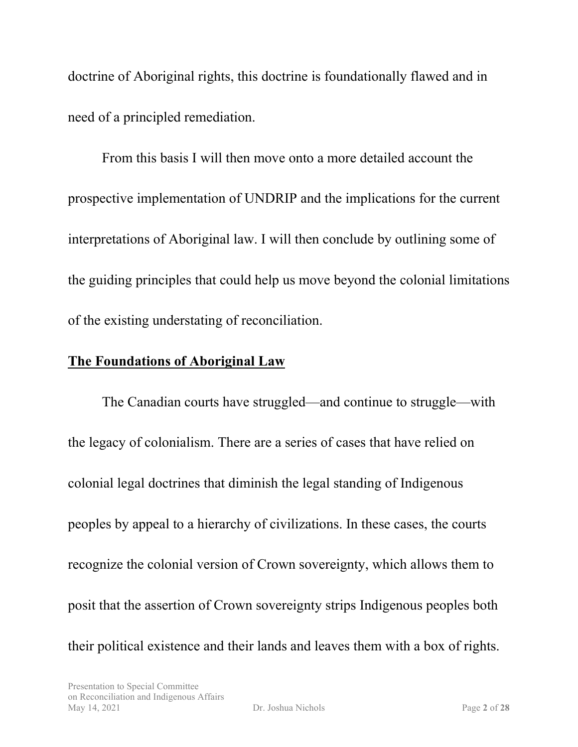doctrine of Aboriginal rights, this doctrine is foundationally flawed and in need of a principled remediation.

From this basis I will then move onto a more detailed account the prospective implementation of UNDRIP and the implications for the current interpretations of Aboriginal law. I will then conclude by outlining some of the guiding principles that could help us move beyond the colonial limitations of the existing understating of reconciliation.

### **The Foundations of Aboriginal Law**

The Canadian courts have struggled—and continue to struggle—with the legacy of colonialism. There are a series of cases that have relied on colonial legal doctrines that diminish the legal standing of Indigenous peoples by appeal to a hierarchy of civilizations. In these cases, the courts recognize the colonial version of Crown sovereignty, which allows them to posit that the assertion of Crown sovereignty strips Indigenous peoples both their political existence and their lands and leaves them with a box of rights.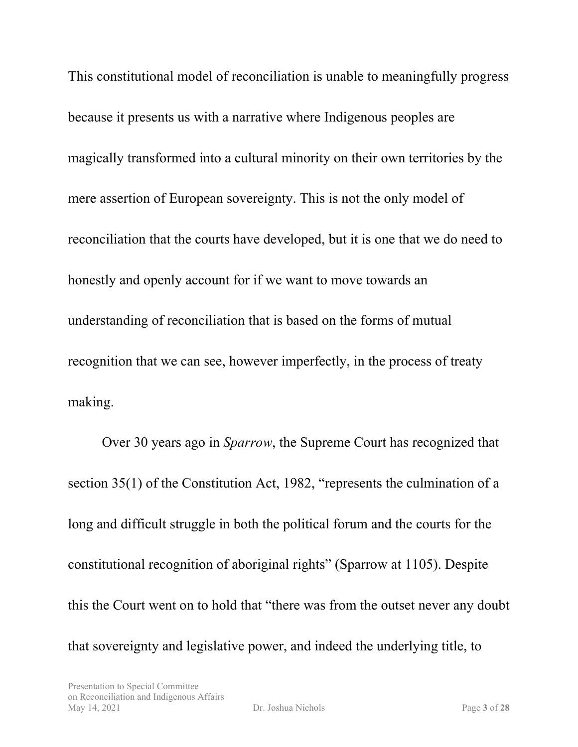This constitutional model of reconciliation is unable to meaningfully progress because it presents us with a narrative where Indigenous peoples are magically transformed into a cultural minority on their own territories by the mere assertion of European sovereignty. This is not the only model of reconciliation that the courts have developed, but it is one that we do need to honestly and openly account for if we want to move towards an understanding of reconciliation that is based on the forms of mutual recognition that we can see, however imperfectly, in the process of treaty making.

Over 30 years ago in *Sparrow*, the Supreme Court has recognized that section 35(1) of the Constitution Act, 1982, "represents the culmination of a long and difficult struggle in both the political forum and the courts for the constitutional recognition of aboriginal rights" (Sparrow at 1105). Despite this the Court went on to hold that "there was from the outset never any doubt that sovereignty and legislative power, and indeed the underlying title, to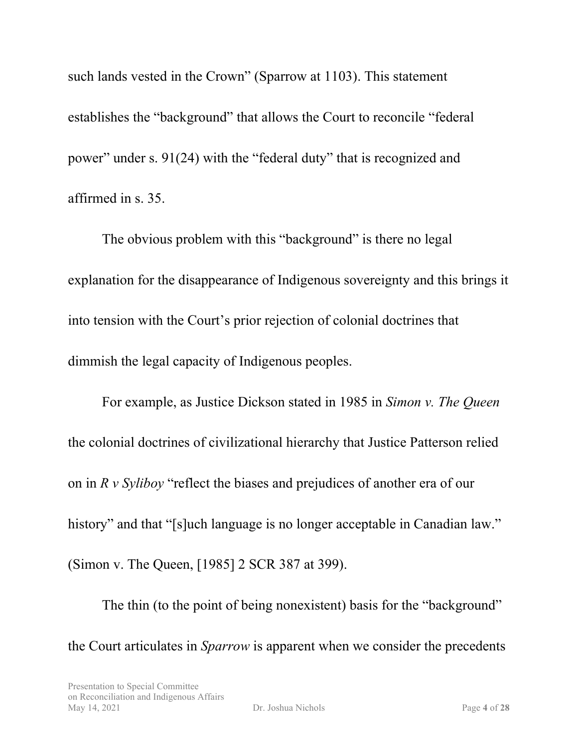such lands vested in the Crown" (Sparrow at 1103). This statement establishes the "background" that allows the Court to reconcile "federal power" under s. 91(24) with the "federal duty" that is recognized and affirmed in s. 35.

The obvious problem with this "background" is there no legal explanation for the disappearance of Indigenous sovereignty and this brings it into tension with the Court's prior rejection of colonial doctrines that dimmish the legal capacity of Indigenous peoples.

For example, as Justice Dickson stated in 1985 in *Simon v. The Queen* the colonial doctrines of civilizational hierarchy that Justice Patterson relied on in *R v Syliboy* "reflect the biases and prejudices of another era of our history" and that "[s]uch language is no longer acceptable in Canadian law." (Simon v. The Queen, [1985] 2 SCR 387 at 399).

The thin (to the point of being nonexistent) basis for the "background" the Court articulates in *Sparrow* is apparent when we consider the precedents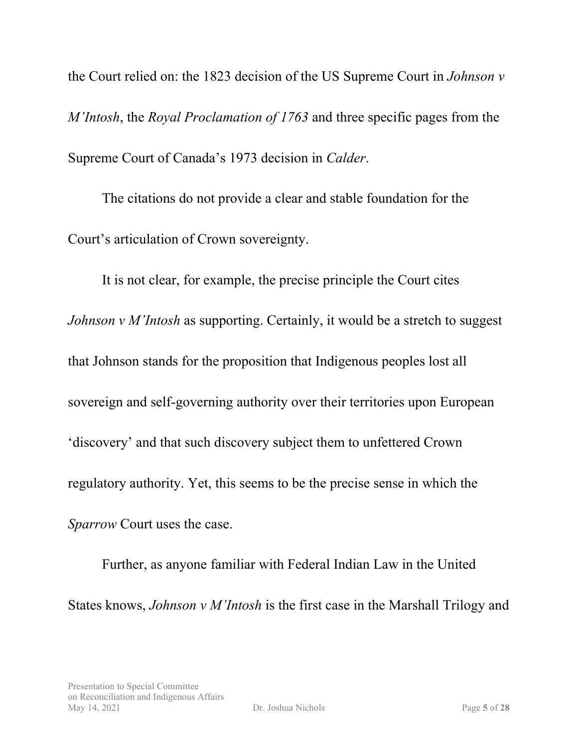the Court relied on: the 1823 decision of the US Supreme Court in *Johnson v M'Intosh*, the *Royal Proclamation of 1763* and three specific pages from the Supreme Court of Canada's 1973 decision in *Calder*.

The citations do not provide a clear and stable foundation for the Court's articulation of Crown sovereignty.

It is not clear, for example, the precise principle the Court cites *Johnson v M'Intosh* as supporting. Certainly, it would be a stretch to suggest that Johnson stands for the proposition that Indigenous peoples lost all sovereign and self-governing authority over their territories upon European 'discovery' and that such discovery subject them to unfettered Crown regulatory authority. Yet, this seems to be the precise sense in which the *Sparrow* Court uses the case.

Further, as anyone familiar with Federal Indian Law in the United States knows, *Johnson v M'Intosh* is the first case in the Marshall Trilogy and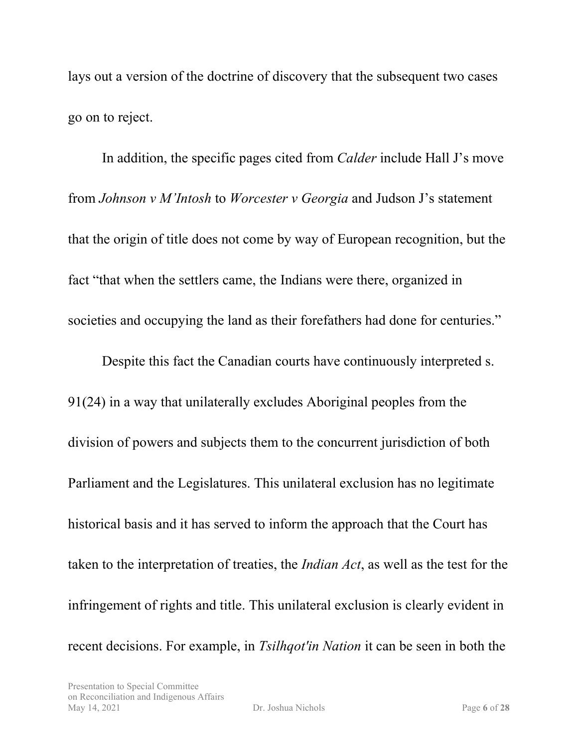lays out a version of the doctrine of discovery that the subsequent two cases go on to reject.

In addition, the specific pages cited from *Calder* include Hall J's move from *Johnson v M'Intosh* to *Worcester v Georgia* and Judson J's statement that the origin of title does not come by way of European recognition, but the fact "that when the settlers came, the Indians were there, organized in societies and occupying the land as their forefathers had done for centuries."

Despite this fact the Canadian courts have continuously interpreted s. 91(24) in a way that unilaterally excludes Aboriginal peoples from the division of powers and subjects them to the concurrent jurisdiction of both Parliament and the Legislatures. This unilateral exclusion has no legitimate historical basis and it has served to inform the approach that the Court has taken to the interpretation of treaties, the *Indian Act*, as well as the test for the infringement of rights and title. This unilateral exclusion is clearly evident in recent decisions. For example, in *Tsilhqot'in Nation* it can be seen in both the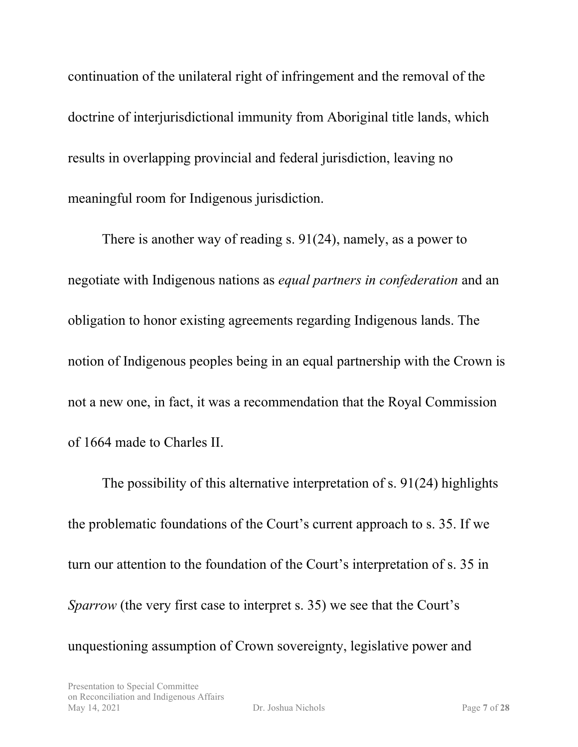continuation of the unilateral right of infringement and the removal of the doctrine of interjurisdictional immunity from Aboriginal title lands, which results in overlapping provincial and federal jurisdiction, leaving no meaningful room for Indigenous jurisdiction.

There is another way of reading s. 91(24), namely, as a power to negotiate with Indigenous nations as *equal partners in confederation* and an obligation to honor existing agreements regarding Indigenous lands. The notion of Indigenous peoples being in an equal partnership with the Crown is not a new one, in fact, it was a recommendation that the Royal Commission of 1664 made to Charles II.

The possibility of this alternative interpretation of s. 91(24) highlights the problematic foundations of the Court's current approach to s. 35. If we turn our attention to the foundation of the Court's interpretation of s. 35 in *Sparrow* (the very first case to interpret s. 35) we see that the Court's unquestioning assumption of Crown sovereignty, legislative power and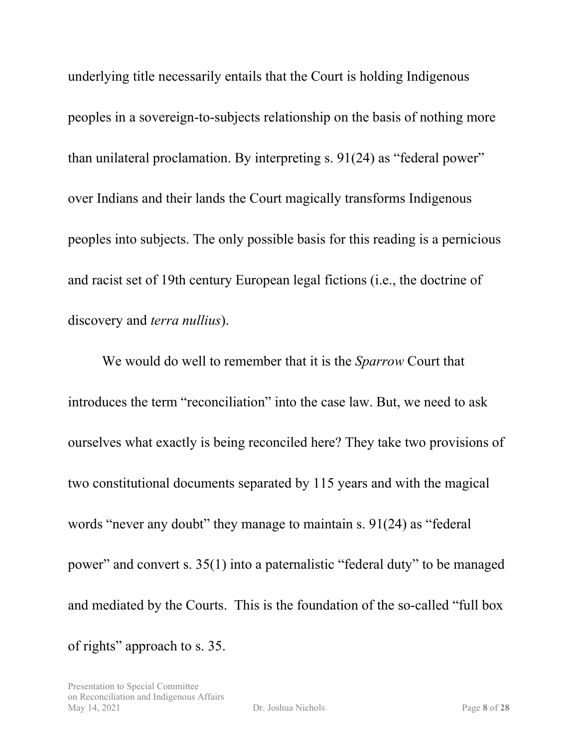underlying title necessarily entails that the Court is holding Indigenous peoples in a sovereign-to-subjects relationship on the basis of nothing more than unilateral proclamation. By interpreting s. 91(24) as "federal power" over Indians and their lands the Court magically transforms Indigenous peoples into subjects. The only possible basis for this reading is a pernicious and racist set of 19th century European legal fictions (i.e., the doctrine of discovery and *terra nullius*).

We would do well to remember that it is the *Sparrow* Court that introduces the term "reconciliation" into the case law. But, we need to ask ourselves what exactly is being reconciled here? They take two provisions of two constitutional documents separated by 115 years and with the magical words "never any doubt" they manage to maintain s. 91(24) as "federal power" and convert s. 35(1) into a paternalistic "federal duty" to be managed and mediated by the Courts. This is the foundation of the so-called "full box of rights" approach to s. 35.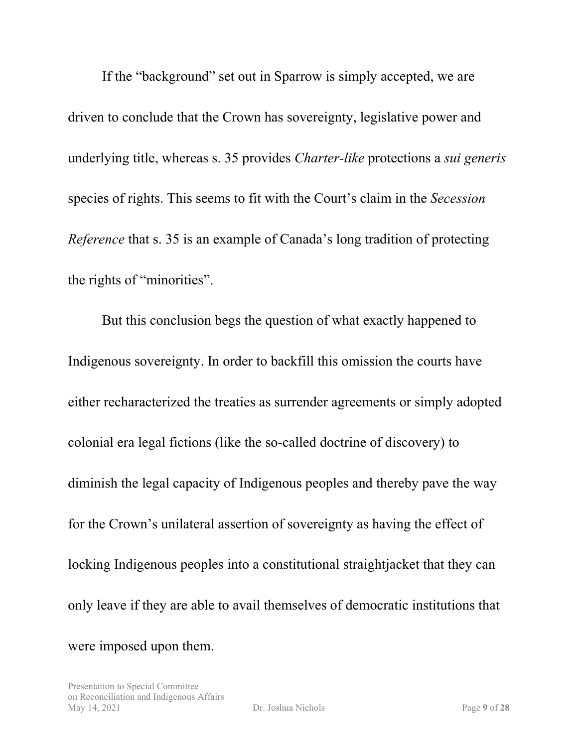If the "background" set out in Sparrow is simply accepted, we are driven to conclude that the Crown has sovereignty, legislative power and underlying title, whereas s. 35 provides *Charter-like* protections a *sui generis* species of rights. This seems to fit with the Court's claim in the *Secession Reference* that s. 35 is an example of Canada's long tradition of protecting the rights of "minorities".

But this conclusion begs the question of what exactly happened to Indigenous sovereignty. In order to backfill this omission the courts have either recharacterized the treaties as surrender agreements or simply adopted colonial era legal fictions (like the so-called doctrine of discovery) to diminish the legal capacity of Indigenous peoples and thereby pave the way for the Crown's unilateral assertion of sovereignty as having the effect of locking Indigenous peoples into a constitutional straightjacket that they can only leave if they are able to avail themselves of democratic institutions that were imposed upon them.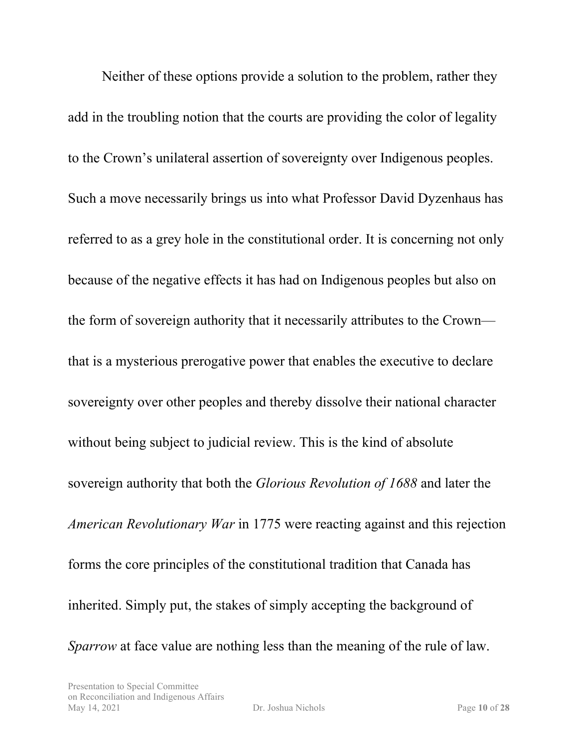Neither of these options provide a solution to the problem, rather they add in the troubling notion that the courts are providing the color of legality to the Crown's unilateral assertion of sovereignty over Indigenous peoples. Such a move necessarily brings us into what Professor David Dyzenhaus has referred to as a grey hole in the constitutional order. It is concerning not only because of the negative effects it has had on Indigenous peoples but also on the form of sovereign authority that it necessarily attributes to the Crown that is a mysterious prerogative power that enables the executive to declare sovereignty over other peoples and thereby dissolve their national character without being subject to judicial review. This is the kind of absolute sovereign authority that both the *Glorious Revolution of 1688* and later the *American Revolutionary War* in 1775 were reacting against and this rejection forms the core principles of the constitutional tradition that Canada has inherited. Simply put, the stakes of simply accepting the background of *Sparrow* at face value are nothing less than the meaning of the rule of law.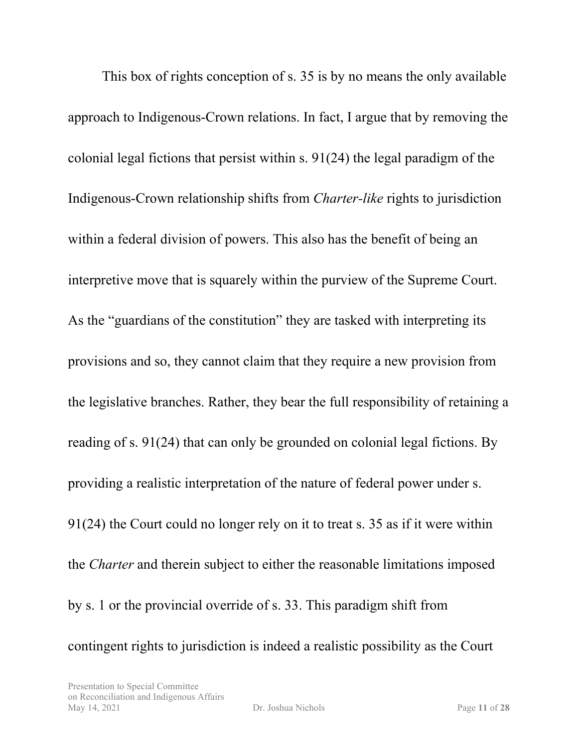This box of rights conception of s. 35 is by no means the only available approach to Indigenous-Crown relations. In fact, I argue that by removing the colonial legal fictions that persist within s. 91(24) the legal paradigm of the Indigenous-Crown relationship shifts from *Charter-like* rights to jurisdiction within a federal division of powers. This also has the benefit of being an interpretive move that is squarely within the purview of the Supreme Court. As the "guardians of the constitution" they are tasked with interpreting its provisions and so, they cannot claim that they require a new provision from the legislative branches. Rather, they bear the full responsibility of retaining a reading of s. 91(24) that can only be grounded on colonial legal fictions. By providing a realistic interpretation of the nature of federal power under s. 91(24) the Court could no longer rely on it to treat s. 35 as if it were within the *Charter* and therein subject to either the reasonable limitations imposed by s. 1 or the provincial override of s. 33. This paradigm shift from contingent rights to jurisdiction is indeed a realistic possibility as the Court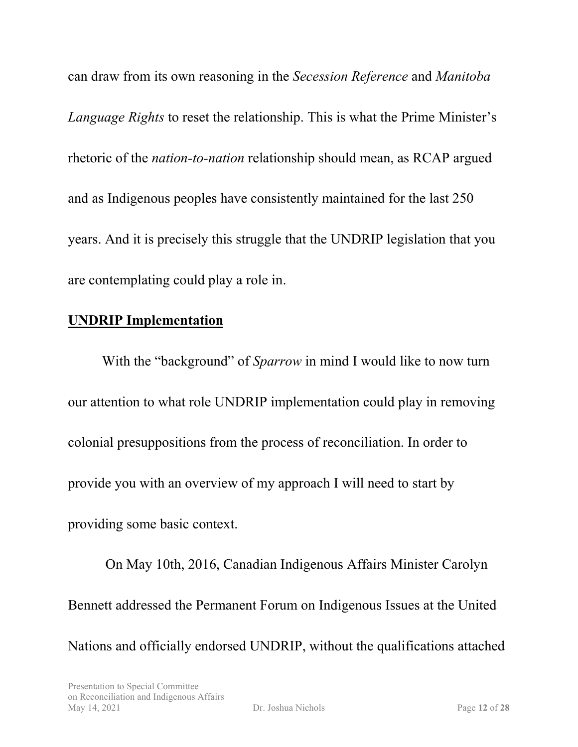can draw from its own reasoning in the *Secession Reference* and *Manitoba Language Rights* to reset the relationship. This is what the Prime Minister's rhetoric of the *nation-to-nation* relationship should mean, as RCAP argued and as Indigenous peoples have consistently maintained for the last 250 years. And it is precisely this struggle that the UNDRIP legislation that you are contemplating could play a role in.

# **UNDRIP Implementation**

With the "background" of *Sparrow* in mind I would like to now turn our attention to what role UNDRIP implementation could play in removing colonial presuppositions from the process of reconciliation. In order to provide you with an overview of my approach I will need to start by providing some basic context.

On May 10th, 2016, Canadian Indigenous Affairs Minister Carolyn Bennett addressed the Permanent Forum on Indigenous Issues at the United Nations and officially endorsed UNDRIP, without the qualifications attached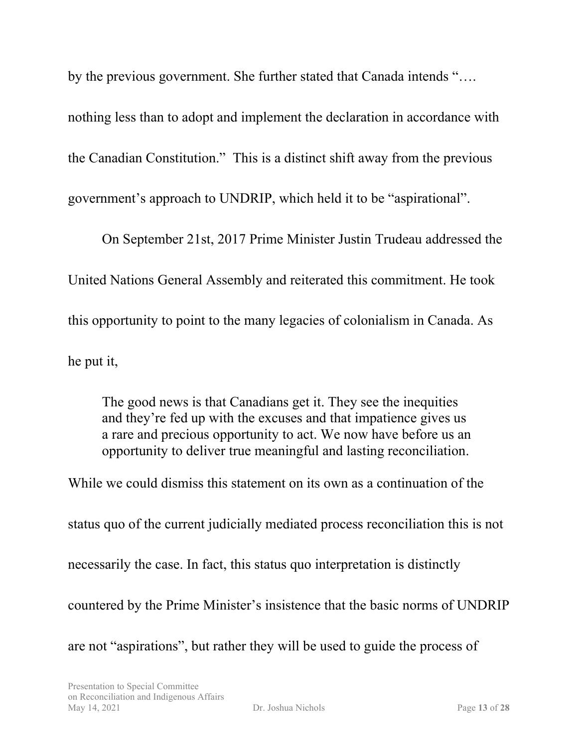by the previous government. She further stated that Canada intends "….

nothing less than to adopt and implement the declaration in accordance with the Canadian Constitution." This is a distinct shift away from the previous government's approach to UNDRIP, which held it to be "aspirational".

On September 21st, 2017 Prime Minister Justin Trudeau addressed the United Nations General Assembly and reiterated this commitment. He took this opportunity to point to the many legacies of colonialism in Canada. As he put it,

The good news is that Canadians get it. They see the inequities and they're fed up with the excuses and that impatience gives us a rare and precious opportunity to act. We now have before us an opportunity to deliver true meaningful and lasting reconciliation.

While we could dismiss this statement on its own as a continuation of the status quo of the current judicially mediated process reconciliation this is not necessarily the case. In fact, this status quo interpretation is distinctly countered by the Prime Minister's insistence that the basic norms of UNDRIP are not "aspirations", but rather they will be used to guide the process of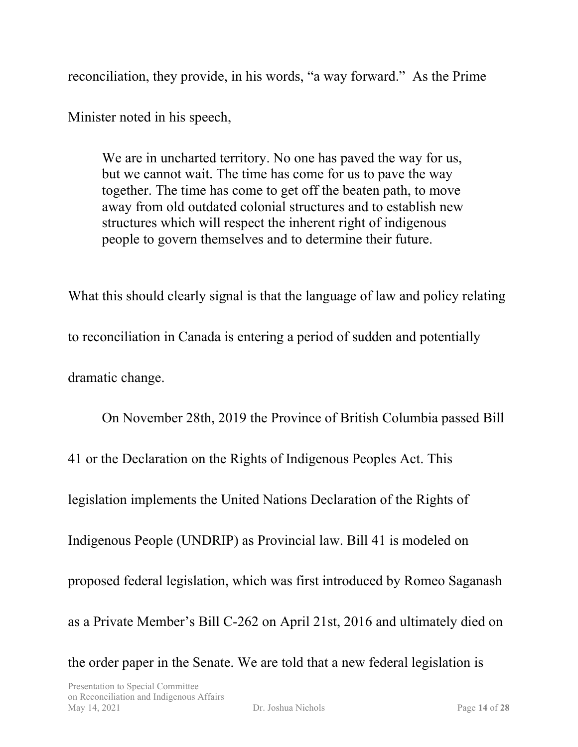reconciliation, they provide, in his words, "a way forward." As the Prime

Minister noted in his speech,

We are in uncharted territory. No one has paved the way for us, but we cannot wait. The time has come for us to pave the way together. The time has come to get off the beaten path, to move away from old outdated colonial structures and to establish new structures which will respect the inherent right of indigenous people to govern themselves and to determine their future.

What this should clearly signal is that the language of law and policy relating to reconciliation in Canada is entering a period of sudden and potentially dramatic change.

On November 28th, 2019 the Province of British Columbia passed Bill 41 or the Declaration on the Rights of Indigenous Peoples Act. This legislation implements the United Nations Declaration of the Rights of Indigenous People (UNDRIP) as Provincial law. Bill 41 is modeled on proposed federal legislation, which was first introduced by Romeo Saganash as a Private Member's Bill C-262 on April 21st, 2016 and ultimately died on the order paper in the Senate. We are told that a new federal legislation is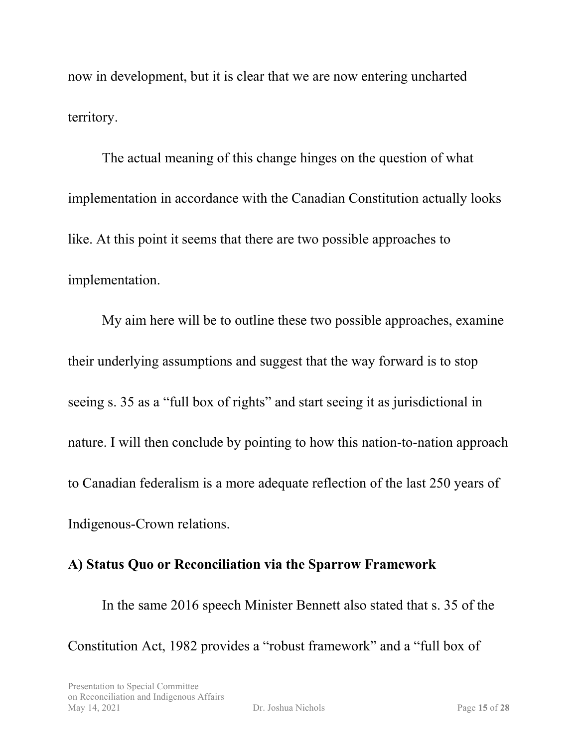now in development, but it is clear that we are now entering uncharted territory.

The actual meaning of this change hinges on the question of what implementation in accordance with the Canadian Constitution actually looks like. At this point it seems that there are two possible approaches to implementation.

My aim here will be to outline these two possible approaches, examine their underlying assumptions and suggest that the way forward is to stop seeing s. 35 as a "full box of rights" and start seeing it as jurisdictional in nature. I will then conclude by pointing to how this nation-to-nation approach to Canadian federalism is a more adequate reflection of the last 250 years of Indigenous-Crown relations.

## **A) Status Quo or Reconciliation via the Sparrow Framework**

In the same 2016 speech Minister Bennett also stated that s. 35 of the Constitution Act, 1982 provides a "robust framework" and a "full box of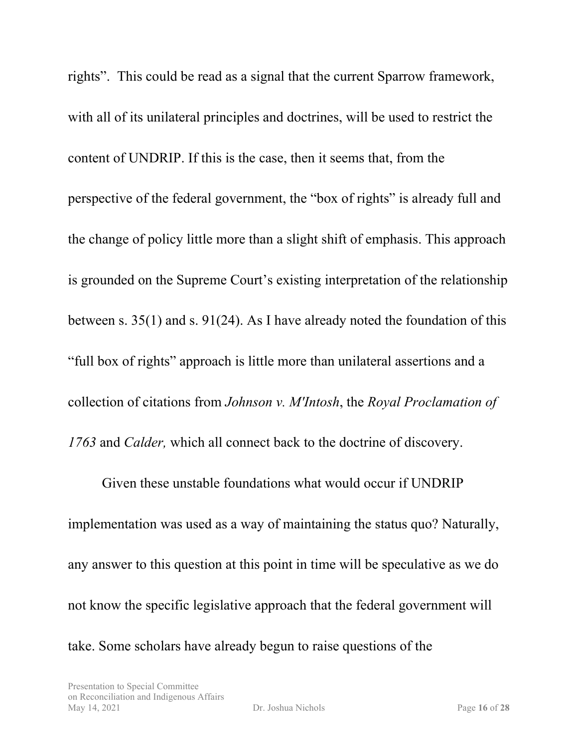rights". This could be read as a signal that the current Sparrow framework, with all of its unilateral principles and doctrines, will be used to restrict the content of UNDRIP. If this is the case, then it seems that, from the perspective of the federal government, the "box of rights" is already full and the change of policy little more than a slight shift of emphasis. This approach is grounded on the Supreme Court's existing interpretation of the relationship between s. 35(1) and s. 91(24). As I have already noted the foundation of this "full box of rights" approach is little more than unilateral assertions and a collection of citations from *Johnson v. M'Intosh*, the *Royal Proclamation of 1763* and *Calder,* which all connect back to the doctrine of discovery.

Given these unstable foundations what would occur if UNDRIP implementation was used as a way of maintaining the status quo? Naturally, any answer to this question at this point in time will be speculative as we do not know the specific legislative approach that the federal government will take. Some scholars have already begun to raise questions of the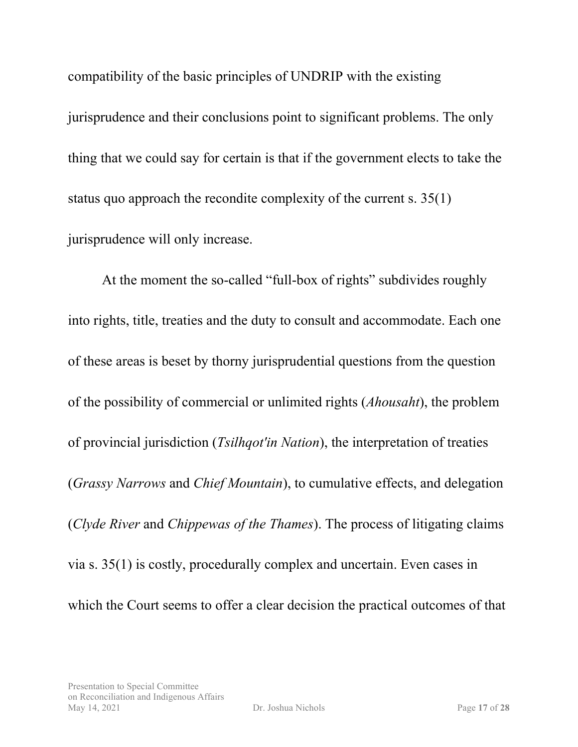compatibility of the basic principles of UNDRIP with the existing jurisprudence and their conclusions point to significant problems. The only thing that we could say for certain is that if the government elects to take the status quo approach the recondite complexity of the current s. 35(1) jurisprudence will only increase.

At the moment the so-called "full-box of rights" subdivides roughly into rights, title, treaties and the duty to consult and accommodate. Each one of these areas is beset by thorny jurisprudential questions from the question of the possibility of commercial or unlimited rights (*Ahousaht*), the problem of provincial jurisdiction (*Tsilhqot'in Nation*), the interpretation of treaties (*Grassy Narrows* and *Chief Mountain*), to cumulative effects, and delegation (*Clyde River* and *Chippewas of the Thames*). The process of litigating claims via s. 35(1) is costly, procedurally complex and uncertain. Even cases in which the Court seems to offer a clear decision the practical outcomes of that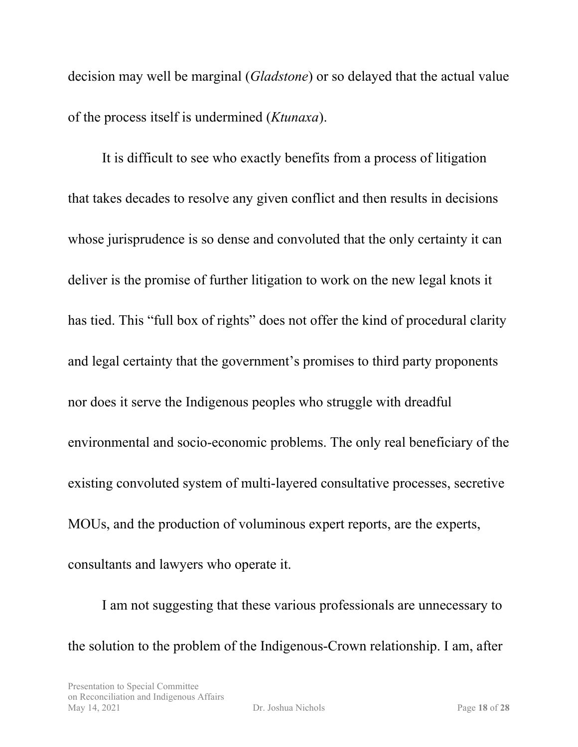decision may well be marginal (*Gladstone*) or so delayed that the actual value of the process itself is undermined (*Ktunaxa*).

It is difficult to see who exactly benefits from a process of litigation that takes decades to resolve any given conflict and then results in decisions whose jurisprudence is so dense and convoluted that the only certainty it can deliver is the promise of further litigation to work on the new legal knots it has tied. This "full box of rights" does not offer the kind of procedural clarity and legal certainty that the government's promises to third party proponents nor does it serve the Indigenous peoples who struggle with dreadful environmental and socio-economic problems. The only real beneficiary of the existing convoluted system of multi-layered consultative processes, secretive MOUs, and the production of voluminous expert reports, are the experts, consultants and lawyers who operate it.

I am not suggesting that these various professionals are unnecessary to the solution to the problem of the Indigenous-Crown relationship. I am, after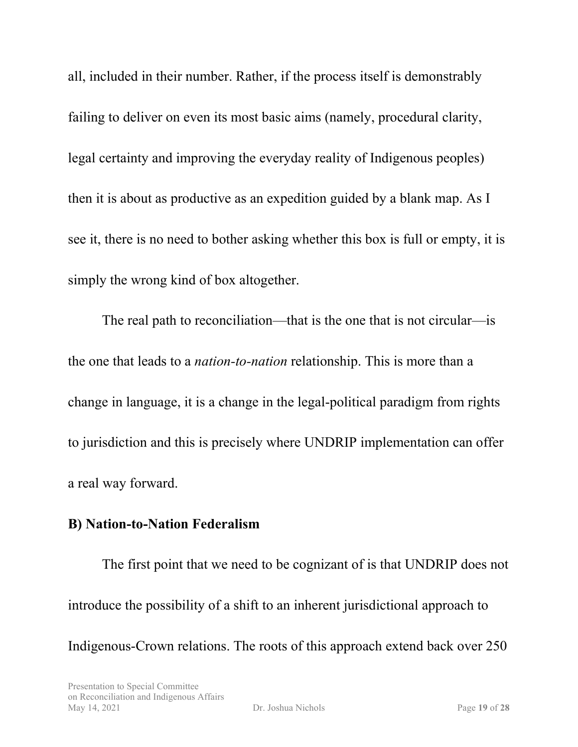all, included in their number. Rather, if the process itself is demonstrably failing to deliver on even its most basic aims (namely, procedural clarity, legal certainty and improving the everyday reality of Indigenous peoples) then it is about as productive as an expedition guided by a blank map. As I see it, there is no need to bother asking whether this box is full or empty, it is simply the wrong kind of box altogether.

The real path to reconciliation—that is the one that is not circular—is the one that leads to a *nation-to-nation* relationship. This is more than a change in language, it is a change in the legal-political paradigm from rights to jurisdiction and this is precisely where UNDRIP implementation can offer a real way forward.

## **B) Nation-to-Nation Federalism**

The first point that we need to be cognizant of is that UNDRIP does not introduce the possibility of a shift to an inherent jurisdictional approach to Indigenous-Crown relations. The roots of this approach extend back over 250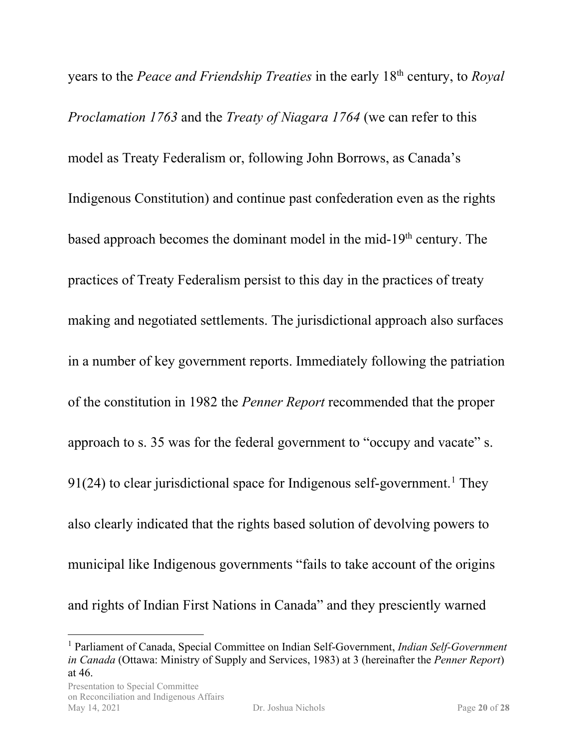years to the *Peace and Friendship Treaties* in the early 18th century, to *Royal Proclamation 1763* and the *Treaty of Niagara 1764* (we can refer to this model as Treaty Federalism or, following John Borrows, as Canada's Indigenous Constitution) and continue past confederation even as the rights based approach becomes the dominant model in the mid-19<sup>th</sup> century. The practices of Treaty Federalism persist to this day in the practices of treaty making and negotiated settlements. The jurisdictional approach also surfaces in a number of key government reports. Immediately following the patriation of the constitution in 1982 the *Penner Report* recommended that the proper approach to s. 35 was for the federal government to "occupy and vacate" s. 9[1](#page-20-0)(24) to clear jurisdictional space for Indigenous self-government.<sup>1</sup> They also clearly indicated that the rights based solution of devolving powers to municipal like Indigenous governments "fails to take account of the origins and rights of Indian First Nations in Canada" and they presciently warned

<span id="page-20-0"></span><sup>1</sup> Parliament of Canada, Special Committee on Indian Self-Government, *Indian Self-Government in Canada* (Ottawa: Ministry of Supply and Services, 1983) at 3 (hereinafter the *Penner Report*) at 46.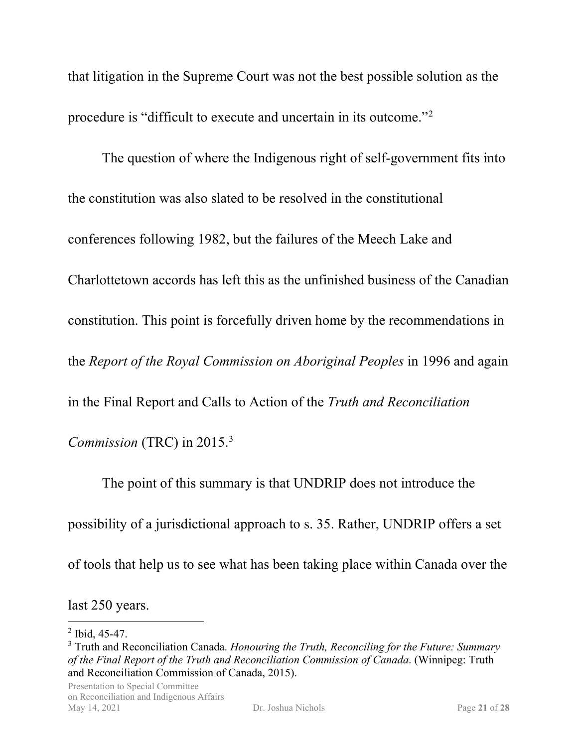that litigation in the Supreme Court was not the best possible solution as the procedure is "difficult to execute and uncertain in its outcome."[2](#page-21-0)

The question of where the Indigenous right of self-government fits into the constitution was also slated to be resolved in the constitutional conferences following 1982, but the failures of the Meech Lake and Charlottetown accords has left this as the unfinished business of the Canadian constitution. This point is forcefully driven home by the recommendations in the *Report of the Royal Commission on Aboriginal Peoples* in 1996 and again in the Final Report and Calls to Action of the *Truth and Reconciliation Commission* (TRC) in 2015.[3](#page-21-1)

The point of this summary is that UNDRIP does not introduce the possibility of a jurisdictional approach to s. 35. Rather, UNDRIP offers a set of tools that help us to see what has been taking place within Canada over the

last 250 years.

<span id="page-21-0"></span><sup>2</sup> Ibid, 45-47.

<span id="page-21-1"></span><sup>3</sup> Truth and Reconciliation Canada. *Honouring the Truth, Reconciling for the Future: Summary of the Final Report of the Truth and Reconciliation Commission of Canada*. (Winnipeg: Truth and Reconciliation Commission of Canada, 2015).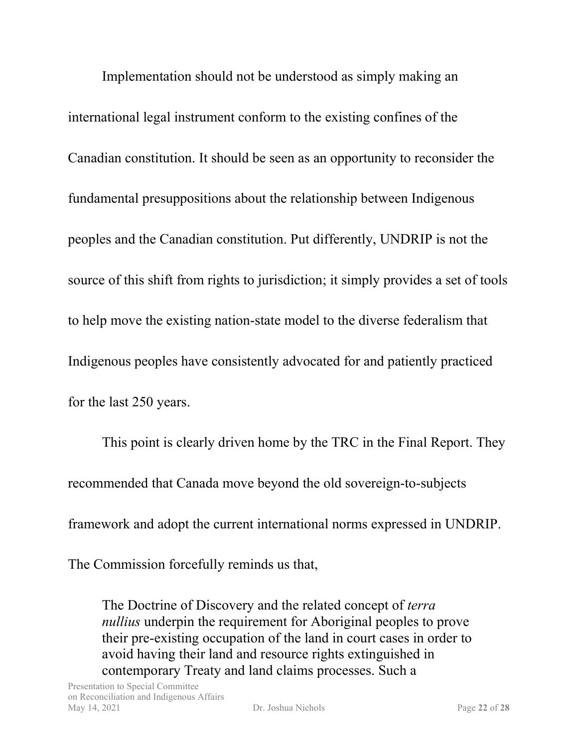Implementation should not be understood as simply making an international legal instrument conform to the existing confines of the Canadian constitution. It should be seen as an opportunity to reconsider the fundamental presuppositions about the relationship between Indigenous peoples and the Canadian constitution. Put differently, UNDRIP is not the source of this shift from rights to jurisdiction; it simply provides a set of tools to help move the existing nation-state model to the diverse federalism that Indigenous peoples have consistently advocated for and patiently practiced for the last 250 years.

This point is clearly driven home by the TRC in the Final Report. They recommended that Canada move beyond the old sovereign-to-subjects framework and adopt the current international norms expressed in UNDRIP.

The Commission forcefully reminds us that,

The Doctrine of Discovery and the related concept of *terra nullius* underpin the requirement for Aboriginal peoples to prove their pre-existing occupation of the land in court cases in order to avoid having their land and resource rights extinguished in contemporary Treaty and land claims processes. Such a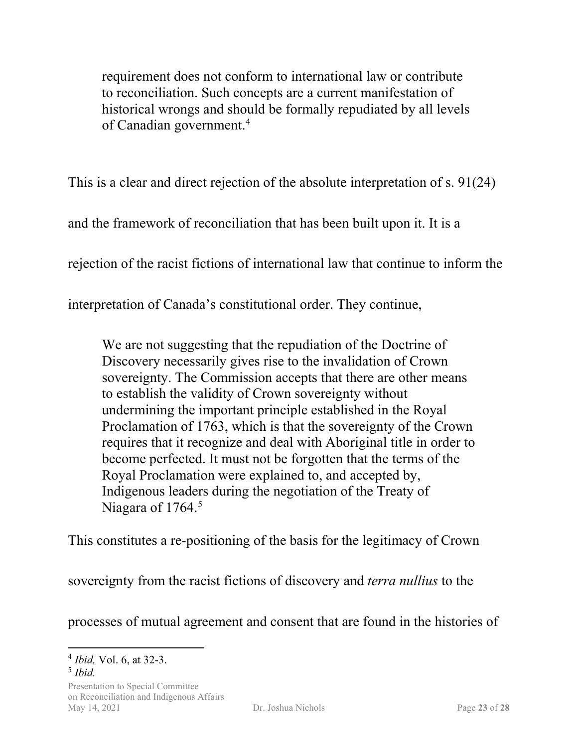requirement does not conform to international law or contribute to reconciliation. Such concepts are a current manifestation of historical wrongs and should be formally repudiated by all levels of Canadian government.[4](#page-23-0)

This is a clear and direct rejection of the absolute interpretation of s. 91(24)

and the framework of reconciliation that has been built upon it. It is a

rejection of the racist fictions of international law that continue to inform the

interpretation of Canada's constitutional order. They continue,

We are not suggesting that the repudiation of the Doctrine of Discovery necessarily gives rise to the invalidation of Crown sovereignty. The Commission accepts that there are other means to establish the validity of Crown sovereignty without undermining the important principle established in the Royal Proclamation of 1763, which is that the sovereignty of the Crown requires that it recognize and deal with Aboriginal title in order to become perfected. It must not be forgotten that the terms of the Royal Proclamation were explained to, and accepted by, Indigenous leaders during the negotiation of the Treaty of Niagara of 1764.<sup>[5](#page-23-1)</sup>

This constitutes a re-positioning of the basis for the legitimacy of Crown

sovereignty from the racist fictions of discovery and *terra nullius* to the

processes of mutual agreement and consent that are found in the histories of

<span id="page-23-1"></span>Presentation to Special Committee on Reconciliation and Indigenous Affairs May 14, 2021 Dr. Joshua Nichols Page **23** of **28** <sup>5</sup> *Ibid.*

<span id="page-23-0"></span><sup>4</sup> *Ibid,* Vol. 6, at 32-3.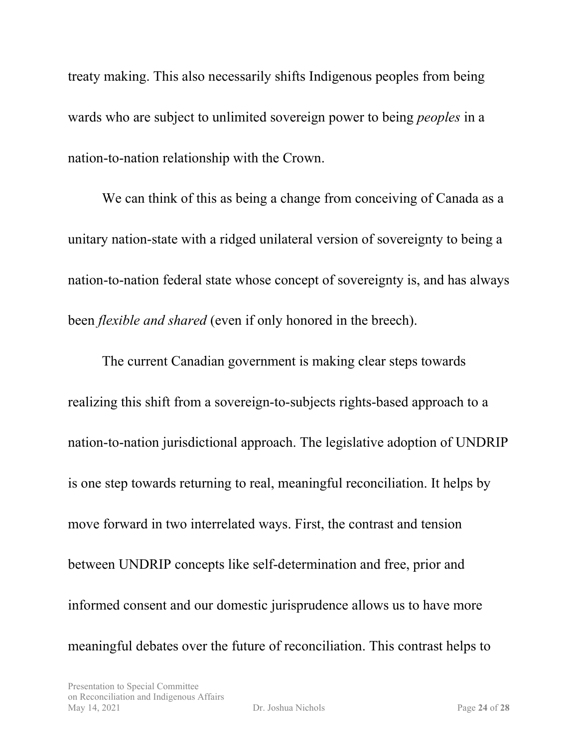treaty making. This also necessarily shifts Indigenous peoples from being wards who are subject to unlimited sovereign power to being *peoples* in a nation-to-nation relationship with the Crown.

We can think of this as being a change from conceiving of Canada as a unitary nation-state with a ridged unilateral version of sovereignty to being a nation-to-nation federal state whose concept of sovereignty is, and has always been *flexible and shared* (even if only honored in the breech).

The current Canadian government is making clear steps towards realizing this shift from a sovereign-to-subjects rights-based approach to a nation-to-nation jurisdictional approach. The legislative adoption of UNDRIP is one step towards returning to real, meaningful reconciliation. It helps by move forward in two interrelated ways. First, the contrast and tension between UNDRIP concepts like self-determination and free, prior and informed consent and our domestic jurisprudence allows us to have more meaningful debates over the future of reconciliation. This contrast helps to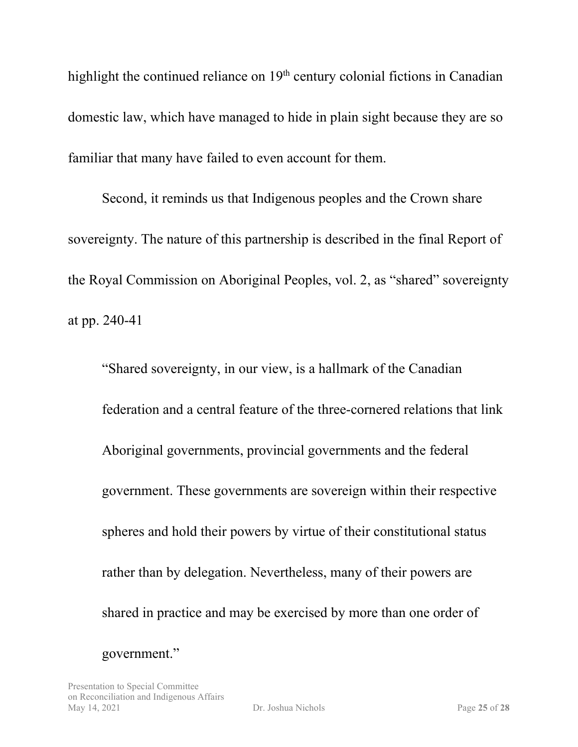highlight the continued reliance on 19<sup>th</sup> century colonial fictions in Canadian domestic law, which have managed to hide in plain sight because they are so familiar that many have failed to even account for them.

Second, it reminds us that Indigenous peoples and the Crown share sovereignty. The nature of this partnership is described in the final Report of the Royal Commission on Aboriginal Peoples, vol. 2, as "shared" sovereignty at pp. 240-41

"Shared sovereignty, in our view, is a hallmark of the Canadian federation and a central feature of the three-cornered relations that link Aboriginal governments, provincial governments and the federal government. These governments are sovereign within their respective spheres and hold their powers by virtue of their constitutional status rather than by delegation. Nevertheless, many of their powers are shared in practice and may be exercised by more than one order of government."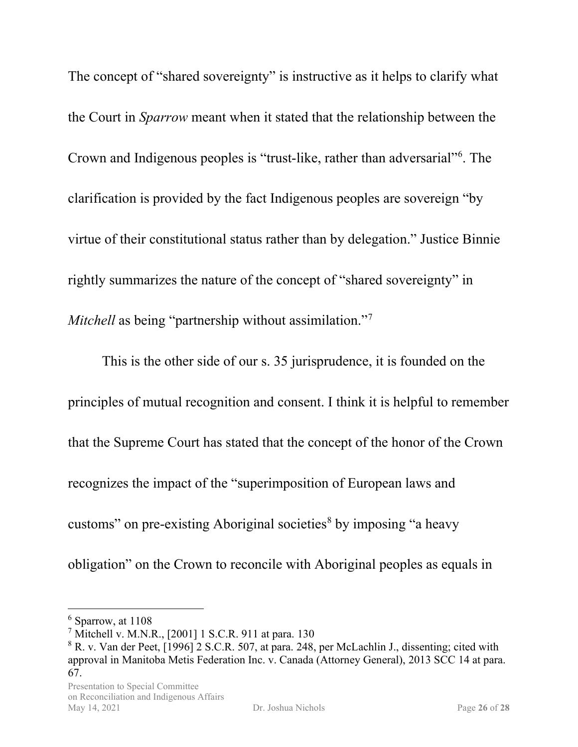The concept of "shared sovereignty" is instructive as it helps to clarify what the Court in *Sparrow* meant when it stated that the relationship between the Crown and Indigenous peoples is "trust-like, rather than adversarial"<sup>[6](#page-26-0)</sup>. The clarification is provided by the fact Indigenous peoples are sovereign "by virtue of their constitutional status rather than by delegation." Justice Binnie rightly summarizes the nature of the concept of "shared sovereignty" in *Mitchell* as being "partnership without assimilation."[7](#page-26-1)

This is the other side of our s. 35 jurisprudence, it is founded on the principles of mutual recognition and consent. I think it is helpful to remember that the Supreme Court has stated that the concept of the honor of the Crown recognizes the impact of the "superimposition of European laws and customs" on pre-existing Aboriginal societies<sup>[8](#page-26-2)</sup> by imposing "a heavy obligation" on the Crown to reconcile with Aboriginal peoples as equals in

<span id="page-26-0"></span><sup>6</sup> Sparrow, at 1108

<span id="page-26-1"></span> $^7$  Mitchell v. M.N.R., [2001] 1 S.C.R. 911 at para. 130

<span id="page-26-2"></span><sup>&</sup>lt;sup>8</sup> R. v. Van der Peet, [1996] 2 S.C.R. 507, at para. 248, per McLachlin J., dissenting; cited with approval in Manitoba Metis Federation Inc. v. Canada (Attorney General), 2013 SCC 14 at para. 67.